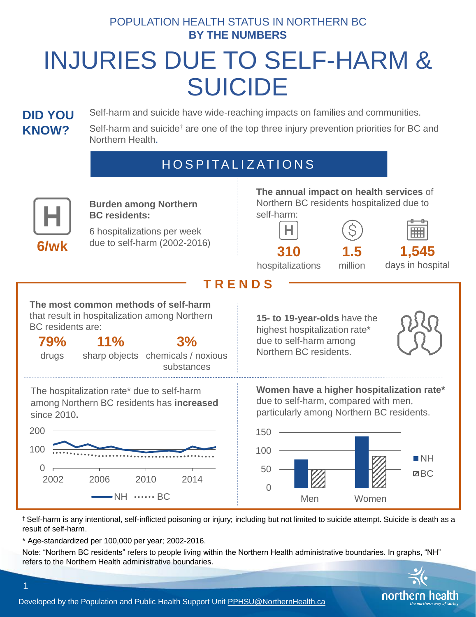#### POPULATION HEALTH STATUS IN NORTHERN BC **BY THE NUMBERS**

# INJURIES DUE TO SELF-HARM & SUICIDE

#### **DID YOU KNOW?**

Self-harm and suicide have wide-reaching impacts on families and communities.

Self-harm and suicide<sup>†</sup> are one of the top three injury prevention priorities for BC and Northern Health.

## **HOSPITALIZATIONS**



† Self-harm is any intentional, self-inflicted poisoning or injury; including but not limited to suicide attempt. Suicide is death as a result of self-harm.

\* Age-standardized per 100,000 per year; 2002-2016.

1

Note: "Northern BC residents" refers to people living within the Northern Health administrative boundaries. In graphs, "NH" refers to the Northern Health administrative boundaries.



Developed by the Population and Public Health Support Unit [PPHSU@NorthernHealth.ca](mailto:PPHSU@NorthernHealth.ca)